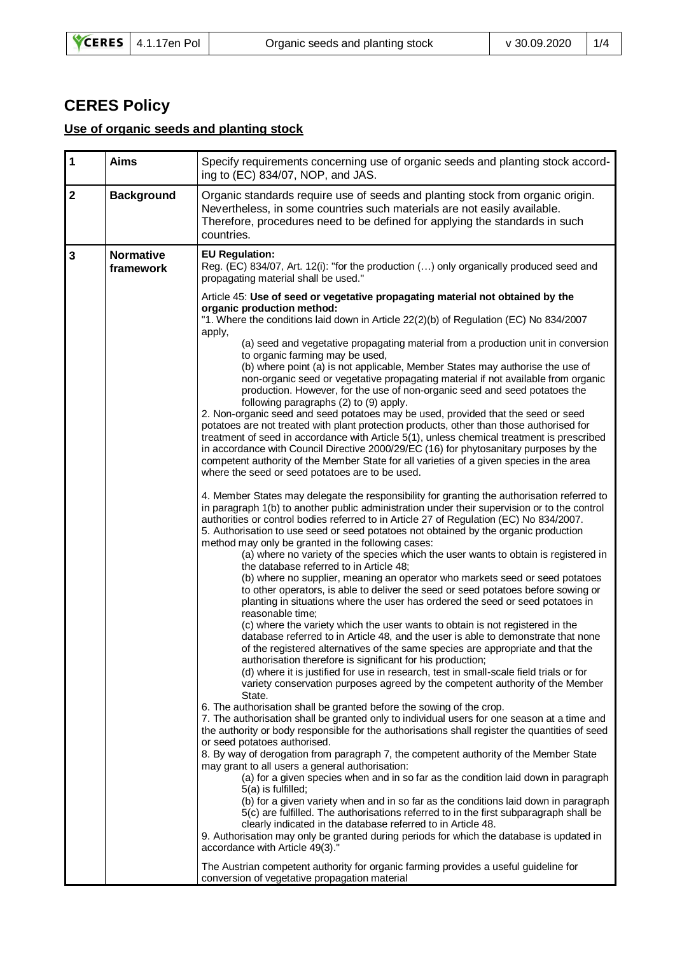## **CERES Policy**

## **Use of organic seeds and planting stock**

|                                              | Specify requirements concerning use of organic seeds and planting stock accord-<br>ing to (EC) 834/07, NOP, and JAS.                                                                                                                                                                                                                                                                                                                                                                                                                                                                                                                                                                                                                                                                                                                                                                                                                                                                                                                                                                                                                                                                                                                                                                                                                                                                                                                                                                                                                                                                                  |  |  |  |
|----------------------------------------------|-------------------------------------------------------------------------------------------------------------------------------------------------------------------------------------------------------------------------------------------------------------------------------------------------------------------------------------------------------------------------------------------------------------------------------------------------------------------------------------------------------------------------------------------------------------------------------------------------------------------------------------------------------------------------------------------------------------------------------------------------------------------------------------------------------------------------------------------------------------------------------------------------------------------------------------------------------------------------------------------------------------------------------------------------------------------------------------------------------------------------------------------------------------------------------------------------------------------------------------------------------------------------------------------------------------------------------------------------------------------------------------------------------------------------------------------------------------------------------------------------------------------------------------------------------------------------------------------------------|--|--|--|
| $\overline{2}$<br><b>Background</b>          | Organic standards require use of seeds and planting stock from organic origin.<br>Nevertheless, in some countries such materials are not easily available.<br>Therefore, procedures need to be defined for applying the standards in such<br>countries.                                                                                                                                                                                                                                                                                                                                                                                                                                                                                                                                                                                                                                                                                                                                                                                                                                                                                                                                                                                                                                                                                                                                                                                                                                                                                                                                               |  |  |  |
| <b>Normative</b><br>$\mathbf 3$<br>framework | <b>EU Regulation:</b><br>Reg. (EC) 834/07, Art. 12(i): "for the production () only organically produced seed and<br>propagating material shall be used."                                                                                                                                                                                                                                                                                                                                                                                                                                                                                                                                                                                                                                                                                                                                                                                                                                                                                                                                                                                                                                                                                                                                                                                                                                                                                                                                                                                                                                              |  |  |  |
|                                              | Article 45: Use of seed or vegetative propagating material not obtained by the<br>organic production method:<br>"1. Where the conditions laid down in Article 22(2)(b) of Regulation (EC) No 834/2007<br>apply,<br>(a) seed and vegetative propagating material from a production unit in conversion<br>to organic farming may be used,<br>(b) where point (a) is not applicable, Member States may authorise the use of<br>non-organic seed or vegetative propagating material if not available from organic<br>production. However, for the use of non-organic seed and seed potatoes the<br>following paragraphs (2) to (9) apply.<br>2. Non-organic seed and seed potatoes may be used, provided that the seed or seed<br>potatoes are not treated with plant protection products, other than those authorised for<br>treatment of seed in accordance with Article 5(1), unless chemical treatment is prescribed<br>in accordance with Council Directive 2000/29/EC (16) for phytosanitary purposes by the<br>competent authority of the Member State for all varieties of a given species in the area<br>where the seed or seed potatoes are to be used.<br>4. Member States may delegate the responsibility for granting the authorisation referred to<br>in paragraph 1(b) to another public administration under their supervision or to the control<br>authorities or control bodies referred to in Article 27 of Regulation (EC) No 834/2007.<br>5. Authorisation to use seed or seed potatoes not obtained by the organic production<br>method may only be granted in the following cases: |  |  |  |
|                                              | (a) where no variety of the species which the user wants to obtain is registered in<br>the database referred to in Article 48;<br>(b) where no supplier, meaning an operator who markets seed or seed potatoes<br>to other operators, is able to deliver the seed or seed potatoes before sowing or<br>planting in situations where the user has ordered the seed or seed potatoes in<br>reasonable time;<br>(c) where the variety which the user wants to obtain is not registered in the<br>database referred to in Article 48, and the user is able to demonstrate that none                                                                                                                                                                                                                                                                                                                                                                                                                                                                                                                                                                                                                                                                                                                                                                                                                                                                                                                                                                                                                       |  |  |  |
|                                              | of the registered alternatives of the same species are appropriate and that the<br>authorisation therefore is significant for his production;<br>(d) where it is justified for use in research, test in small-scale field trials or for<br>variety conservation purposes agreed by the competent authority of the Member<br>State.<br>6. The authorisation shall be granted before the sowing of the crop.<br>7. The authorisation shall be granted only to individual users for one season at a time and<br>the authority or body responsible for the authorisations shall register the quantities of seed<br>or seed potatoes authorised.<br>8. By way of derogation from paragraph 7, the competent authority of the Member State<br>may grant to all users a general authorisation:<br>(a) for a given species when and in so far as the condition laid down in paragraph<br>5(a) is fulfilled;<br>(b) for a given variety when and in so far as the conditions laid down in paragraph<br>5(c) are fulfilled. The authorisations referred to in the first subparagraph shall be<br>clearly indicated in the database referred to in Article 48.<br>9. Authorisation may only be granted during periods for which the database is updated in<br>accordance with Article 49(3)."<br>The Austrian competent authority for organic farming provides a useful guideline for<br>conversion of vegetative propagation material                                                                                                                                                                           |  |  |  |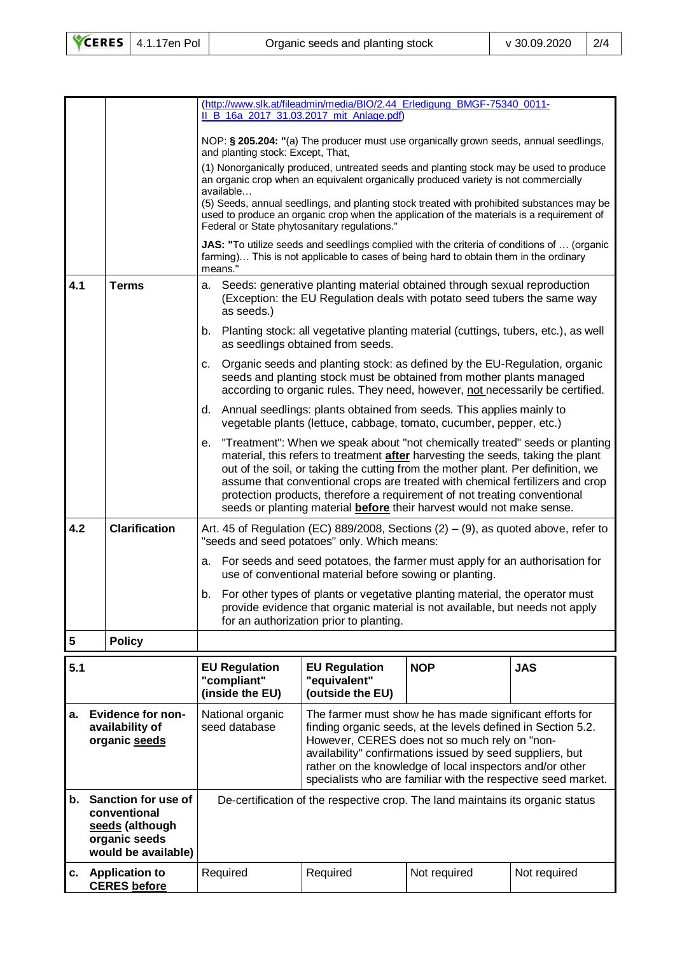|                                                          |                                                                                                                                                                                  | (http://www.slk.at/fileadmin/media/BIO/2.44 Erledigung BMGF-75340 0011-<br>II_B_16a_2017_31.03.2017_mit_Anlage.pdf)                                                                                                                                                                                                                                                                                                                                                                                    |                                                          |              |              |  |
|----------------------------------------------------------|----------------------------------------------------------------------------------------------------------------------------------------------------------------------------------|--------------------------------------------------------------------------------------------------------------------------------------------------------------------------------------------------------------------------------------------------------------------------------------------------------------------------------------------------------------------------------------------------------------------------------------------------------------------------------------------------------|----------------------------------------------------------|--------------|--------------|--|
|                                                          |                                                                                                                                                                                  | NOP: § 205.204: "(a) The producer must use organically grown seeds, annual seedlings,                                                                                                                                                                                                                                                                                                                                                                                                                  |                                                          |              |              |  |
|                                                          |                                                                                                                                                                                  | and planting stock: Except, That,<br>(1) Nonorganically produced, untreated seeds and planting stock may be used to produce<br>an organic crop when an equivalent organically produced variety is not commercially                                                                                                                                                                                                                                                                                     |                                                          |              |              |  |
|                                                          |                                                                                                                                                                                  | available<br>(5) Seeds, annual seedlings, and planting stock treated with prohibited substances may be<br>used to produce an organic crop when the application of the materials is a requirement of<br>Federal or State phytosanitary regulations."                                                                                                                                                                                                                                                    |                                                          |              |              |  |
|                                                          |                                                                                                                                                                                  | JAS: "To utilize seeds and seedlings complied with the criteria of conditions of  (organic<br>farming) This is not applicable to cases of being hard to obtain them in the ordinary<br>means."                                                                                                                                                                                                                                                                                                         |                                                          |              |              |  |
| 4.1                                                      | <b>Terms</b>                                                                                                                                                                     | a. Seeds: generative planting material obtained through sexual reproduction<br>(Exception: the EU Regulation deals with potato seed tubers the same way<br>as seeds.)                                                                                                                                                                                                                                                                                                                                  |                                                          |              |              |  |
|                                                          |                                                                                                                                                                                  | b. Planting stock: all vegetative planting material (cuttings, tubers, etc.), as well<br>as seedlings obtained from seeds.                                                                                                                                                                                                                                                                                                                                                                             |                                                          |              |              |  |
|                                                          |                                                                                                                                                                                  | Organic seeds and planting stock: as defined by the EU-Regulation, organic<br>с.<br>seeds and planting stock must be obtained from mother plants managed<br>according to organic rules. They need, however, not necessarily be certified.                                                                                                                                                                                                                                                              |                                                          |              |              |  |
|                                                          |                                                                                                                                                                                  | d. Annual seedlings: plants obtained from seeds. This applies mainly to<br>vegetable plants (lettuce, cabbage, tomato, cucumber, pepper, etc.)                                                                                                                                                                                                                                                                                                                                                         |                                                          |              |              |  |
|                                                          |                                                                                                                                                                                  | "Treatment": When we speak about "not chemically treated" seeds or planting<br>е.<br>material, this refers to treatment after harvesting the seeds, taking the plant<br>out of the soil, or taking the cutting from the mother plant. Per definition, we<br>assume that conventional crops are treated with chemical fertilizers and crop<br>protection products, therefore a requirement of not treating conventional<br>seeds or planting material <b>before</b> their harvest would not make sense. |                                                          |              |              |  |
| 4.2                                                      | <b>Clarification</b>                                                                                                                                                             | Art. 45 of Regulation (EC) 889/2008, Sections $(2) - (9)$ , as quoted above, refer to<br>"seeds and seed potatoes" only. Which means:                                                                                                                                                                                                                                                                                                                                                                  |                                                          |              |              |  |
|                                                          |                                                                                                                                                                                  | For seeds and seed potatoes, the farmer must apply for an authorisation for<br>а.<br>use of conventional material before sowing or planting.                                                                                                                                                                                                                                                                                                                                                           |                                                          |              |              |  |
|                                                          |                                                                                                                                                                                  | b. For other types of plants or vegetative planting material, the operator must<br>provide evidence that organic material is not available, but needs not apply<br>for an authorization prior to planting.                                                                                                                                                                                                                                                                                             |                                                          |              |              |  |
| 5                                                        | <b>Policy</b>                                                                                                                                                                    |                                                                                                                                                                                                                                                                                                                                                                                                                                                                                                        |                                                          |              |              |  |
| 5.1                                                      |                                                                                                                                                                                  | <b>EU Regulation</b><br>"compliant"<br>(inside the EU)                                                                                                                                                                                                                                                                                                                                                                                                                                                 | <b>EU Regulation</b><br>"equivalent"<br>(outside the EU) | <b>NOP</b>   | <b>JAS</b>   |  |
| a. Evidence for non-<br>availability of<br>organic seeds |                                                                                                                                                                                  | National organic<br>The farmer must show he has made significant efforts for<br>seed database<br>finding organic seeds, at the levels defined in Section 5.2.<br>However, CERES does not so much rely on "non-<br>availability" confirmations issued by seed suppliers, but<br>rather on the knowledge of local inspectors and/or other<br>specialists who are familiar with the respective seed market.                                                                                               |                                                          |              |              |  |
| b.                                                       | Sanction for use of<br>De-certification of the respective crop. The land maintains its organic status<br>conventional<br>seeds (although<br>organic seeds<br>would be available) |                                                                                                                                                                                                                                                                                                                                                                                                                                                                                                        |                                                          |              |              |  |
| с.                                                       | <b>Application to</b><br><b>CERES</b> before                                                                                                                                     | Required                                                                                                                                                                                                                                                                                                                                                                                                                                                                                               | Required                                                 | Not required | Not required |  |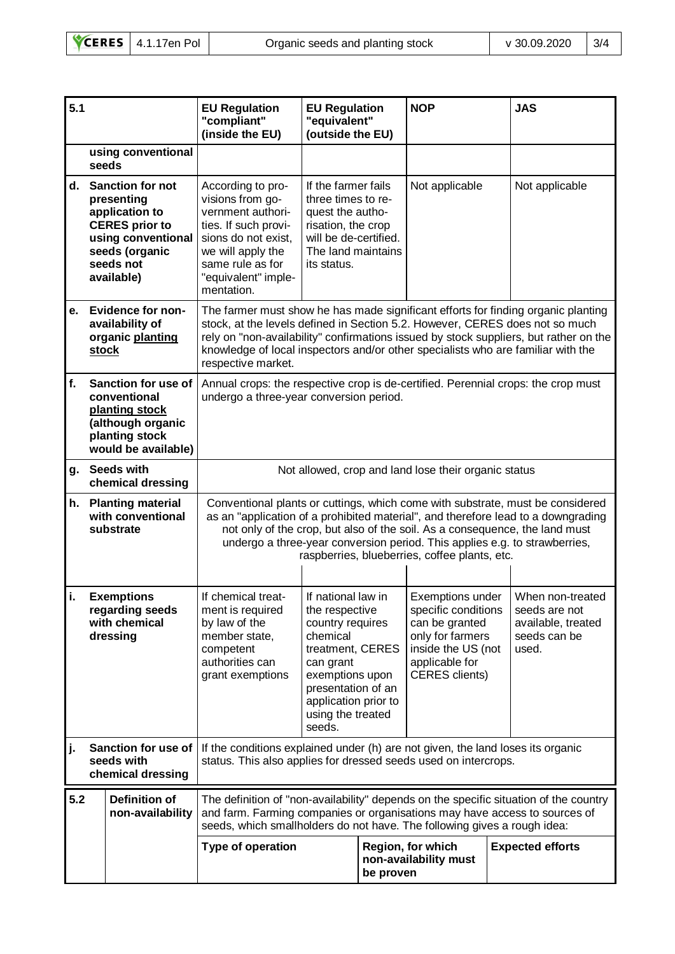| 5.1 |                                                                                                                                                     | <b>EU Regulation</b><br>"compliant"<br>(inside the EU)                                                                                                                                                                                                                                                                                                                            | <b>EU Regulation</b><br>"equivalent"<br>(outside the EU)                                                                                                                                              |           | <b>NOP</b>                                                                                                                                     |  | <b>JAS</b>                                                                       |
|-----|-----------------------------------------------------------------------------------------------------------------------------------------------------|-----------------------------------------------------------------------------------------------------------------------------------------------------------------------------------------------------------------------------------------------------------------------------------------------------------------------------------------------------------------------------------|-------------------------------------------------------------------------------------------------------------------------------------------------------------------------------------------------------|-----------|------------------------------------------------------------------------------------------------------------------------------------------------|--|----------------------------------------------------------------------------------|
|     | using conventional<br>seeds                                                                                                                         |                                                                                                                                                                                                                                                                                                                                                                                   |                                                                                                                                                                                                       |           |                                                                                                                                                |  |                                                                                  |
| d.  | <b>Sanction for not</b><br>presenting<br>application to<br><b>CERES</b> prior to<br>using conventional<br>seeds (organic<br>seeds not<br>available) | According to pro-<br>visions from go-<br>vernment authori-<br>ties. If such provi-<br>sions do not exist,<br>we will apply the<br>same rule as for<br>"equivalent" imple-<br>mentation.                                                                                                                                                                                           | If the farmer fails<br>three times to re-<br>quest the autho-<br>risation, the crop<br>will be de-certified.<br>The land maintains<br>its status.                                                     |           | Not applicable                                                                                                                                 |  | Not applicable                                                                   |
| е.  | <b>Evidence for non-</b><br>availability of<br>organic planting<br><u>stock</u>                                                                     | The farmer must show he has made significant efforts for finding organic planting<br>stock, at the levels defined in Section 5.2. However, CERES does not so much<br>rely on "non-availability" confirmations issued by stock suppliers, but rather on the<br>knowledge of local inspectors and/or other specialists who are familiar with the<br>respective market.              |                                                                                                                                                                                                       |           |                                                                                                                                                |  |                                                                                  |
| f.  | Sanction for use of<br>conventional<br>planting stock<br>(although organic<br>planting stock<br>would be available)                                 | Annual crops: the respective crop is de-certified. Perennial crops: the crop must<br>undergo a three-year conversion period.                                                                                                                                                                                                                                                      |                                                                                                                                                                                                       |           |                                                                                                                                                |  |                                                                                  |
| g.  | <b>Seeds with</b><br>chemical dressing                                                                                                              |                                                                                                                                                                                                                                                                                                                                                                                   | Not allowed, crop and land lose their organic status                                                                                                                                                  |           |                                                                                                                                                |  |                                                                                  |
|     | h. Planting material<br>with conventional<br>substrate                                                                                              | Conventional plants or cuttings, which come with substrate, must be considered<br>as an "application of a prohibited material", and therefore lead to a downgrading<br>not only of the crop, but also of the soil. As a consequence, the land must<br>undergo a three-year conversion period. This applies e.g. to strawberries,<br>raspberries, blueberries, coffee plants, etc. |                                                                                                                                                                                                       |           |                                                                                                                                                |  |                                                                                  |
| i.  | <b>Exemptions</b><br>regarding seeds<br>with chemical<br>dressing                                                                                   | If chemical treat-<br>ment is required<br>by law of the<br>member state,<br>competent<br>authorities can<br>grant exemptions                                                                                                                                                                                                                                                      | If national law in<br>the respective<br>country requires<br>chemical<br>treatment, CERES<br>can grant<br>exemptions upon<br>presentation of an<br>application prior to<br>using the treated<br>seeds. |           | Exemptions under<br>specific conditions<br>can be granted<br>only for farmers<br>inside the US (not<br>applicable for<br><b>CERES</b> clients) |  | When non-treated<br>seeds are not<br>available, treated<br>seeds can be<br>used. |
| j.  | Sanction for use of<br>seeds with<br>chemical dressing                                                                                              | If the conditions explained under (h) are not given, the land loses its organic<br>status. This also applies for dressed seeds used on intercrops.                                                                                                                                                                                                                                |                                                                                                                                                                                                       |           |                                                                                                                                                |  |                                                                                  |
| 5.2 | Definition of<br>non-availability                                                                                                                   | The definition of "non-availability" depends on the specific situation of the country<br>and farm. Farming companies or organisations may have access to sources of<br>seeds, which smallholders do not have. The following gives a rough idea:                                                                                                                                   |                                                                                                                                                                                                       |           |                                                                                                                                                |  |                                                                                  |
|     |                                                                                                                                                     | Type of operation                                                                                                                                                                                                                                                                                                                                                                 |                                                                                                                                                                                                       | be proven | Region, for which<br>non-availability must                                                                                                     |  | <b>Expected efforts</b>                                                          |